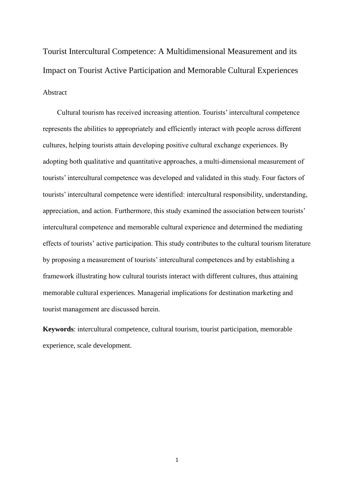Tourist Intercultural Competence: A Multidimensional Measurement and its Impact on Tourist Active Participation and Memorable Cultural Experiences Abstract

Cultural tourism has received increasing attention. Tourists' intercultural competence represents the abilities to appropriately and efficiently interact with people across different cultures, helping tourists attain developing positive cultural exchange experiences. By adopting both qualitative and quantitative approaches, a multi-dimensional measurement of tourists' intercultural competence was developed and validated in this study. Four factors of tourists' intercultural competence were identified: intercultural responsibility, understanding, appreciation, and action. Furthermore, this study examined the association between tourists' intercultural competence and memorable cultural experience and determined the mediating effects of tourists' active participation. This study contributes to the cultural tourism literature by proposing a measurement of tourists' intercultural competences and by establishing a framework illustrating how cultural tourists interact with different cultures, thus attaining memorable cultural experiences. Managerial implications for destination marketing and tourist management are discussed herein.

**Keywords**: intercultural competence, cultural tourism, tourist participation, memorable experience, scale development.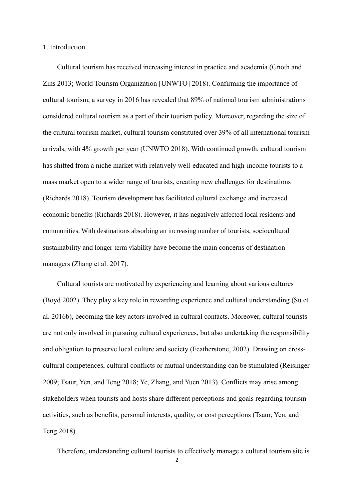### 1. Introduction

Cultural tourism has received increasing interest in practice and academia (Gnoth and Zins 2013; World Tourism Organization [UNWTO] 2018). Confirming the importance of cultural tourism, a survey in 2016 has revealed that 89% of national tourism administrations considered cultural tourism as a part of their tourism policy. Moreover, regarding the size of the cultural tourism market, cultural tourism constituted over 39% of all international tourism arrivals, with 4% growth per year (UNWTO 2018). With continued growth, cultural tourism has shifted from a niche market with relatively well-educated and high-income tourists to a mass market open to a wider range of tourists, creating new challenges for destinations (Richards 2018). Tourism development has facilitated cultural exchange and increased economic benefits (Richards 2018). However, it has negatively affected local residents and communities. With destinations absorbing an increasing number of tourists, sociocultural sustainability and longer-term viability have become the main concerns of destination managers (Zhang et al. 2017).

Cultural tourists are motivated by experiencing and learning about various cultures (Boyd 2002). They play a key role in rewarding experience and cultural understanding (Su et al. 2016b), becoming the key actors involved in cultural contacts. Moreover, cultural tourists are not only involved in pursuing cultural experiences, but also undertaking the responsibility and obligation to preserve local culture and society (Featherstone, 2002). Drawing on crosscultural competences, cultural conflicts or mutual understanding can be stimulated (Reisinger 2009; Tsaur, Yen, and Teng 2018; Ye, Zhang, and Yuen 2013). Conflicts may arise among stakeholders when tourists and hosts share different perceptions and goals regarding tourism activities, such as benefits, personal interests, quality, or cost perceptions (Tsaur, Yen, and Teng 2018).

Therefore, understanding cultural tourists to effectively manage a cultural tourism site is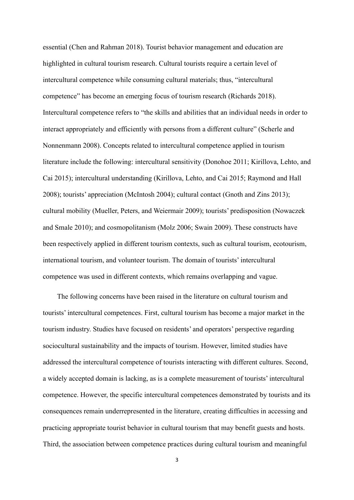essential (Chen and Rahman 2018). Tourist behavior management and education are highlighted in cultural tourism research. Cultural tourists require a certain level of intercultural competence while consuming cultural materials; thus, "intercultural competence" has become an emerging focus of tourism research (Richards 2018). Intercultural competence refers to "the skills and abilities that an individual needs in order to interact appropriately and efficiently with persons from a different culture" (Scherle and Nonnenmann 2008). Concepts related to intercultural competence applied in tourism literature include the following: intercultural sensitivity (Donohoe 2011; Kirillova, Lehto, and Cai 2015); intercultural understanding (Kirillova, Lehto, and Cai 2015; Raymond and Hall 2008); tourists' appreciation (McIntosh 2004); cultural contact (Gnoth and Zins 2013); cultural mobility (Mueller, Peters, and Weiermair 2009); tourists' predisposition (Nowaczek and Smale 2010); and cosmopolitanism (Molz 2006; Swain 2009). These constructs have been respectively applied in different tourism contexts, such as cultural tourism, ecotourism, international tourism, and volunteer tourism. The domain of tourists' intercultural competence was used in different contexts, which remains overlapping and vague.

The following concerns have been raised in the literature on cultural tourism and tourists' intercultural competences. First, cultural tourism has become a major market in the tourism industry. Studies have focused on residents' and operators' perspective regarding sociocultural sustainability and the impacts of tourism. However, limited studies have addressed the intercultural competence of tourists interacting with different cultures. Second, a widely accepted domain is lacking, as is a complete measurement of tourists' intercultural competence. However, the specific intercultural competences demonstrated by tourists and its consequences remain underrepresented in the literature, creating difficulties in accessing and practicing appropriate tourist behavior in cultural tourism that may benefit guests and hosts. Third, the association between competence practices during cultural tourism and meaningful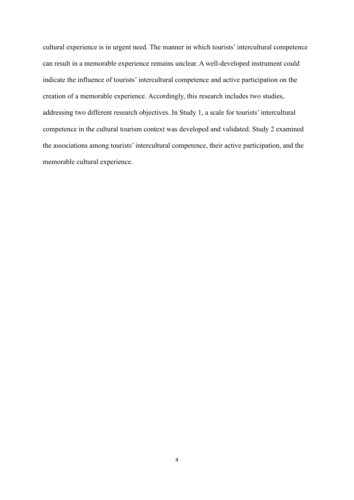cultural experience is in urgent need. The manner in which tourists' intercultural competence can result in a memorable experience remains unclear. A well-developed instrument could indicate the influence of tourists' intercultural competence and active participation on the creation of a memorable experience. Accordingly, this research includes two studies, addressing two different research objectives. In Study 1, a scale for tourists' intercultural competence in the cultural tourism context was developed and validated. Study 2 examined the associations among tourists' intercultural competence, their active participation, and the memorable cultural experience.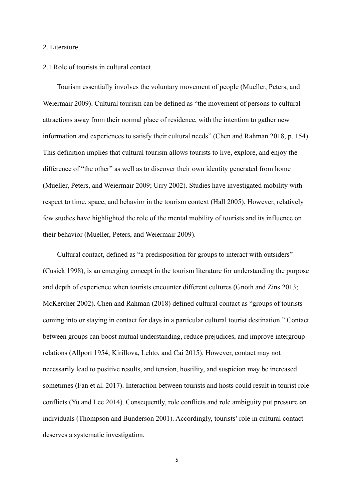### 2. Literature

#### 2.1 Role of tourists in cultural contact

Tourism essentially involves the voluntary movement of people (Mueller, Peters, and Weiermair 2009). Cultural tourism can be defined as "the movement of persons to cultural attractions away from their normal place of residence, with the intention to gather new information and experiences to satisfy their cultural needs" (Chen and Rahman 2018, p. 154). This definition implies that cultural tourism allows tourists to live, explore, and enjoy the difference of "the other" as well as to discover their own identity generated from home (Mueller, Peters, and Weiermair 2009; Urry 2002). Studies have investigated mobility with respect to time, space, and behavior in the tourism context (Hall 2005). However, relatively few studies have highlighted the role of the mental mobility of tourists and its influence on their behavior (Mueller, Peters, and Weiermair 2009).

Cultural contact, defined as "a predisposition for groups to interact with outsiders" (Cusick 1998), is an emerging concept in the tourism literature for understanding the purpose and depth of experience when tourists encounter different cultures (Gnoth and Zins 2013; McKercher 2002). Chen and Rahman (2018) defined cultural contact as "groups of tourists coming into or staying in contact for days in a particular cultural tourist destination." Contact between groups can boost mutual understanding, reduce prejudices, and improve intergroup relations (Allport 1954; Kirillova, Lehto, and Cai 2015). However, contact may not necessarily lead to positive results, and tension, hostility, and suspicion may be increased sometimes (Fan et al. 2017). Interaction between tourists and hosts could result in tourist role conflicts (Yu and Lee 2014). Consequently, role conflicts and role ambiguity put pressure on individuals (Thompson and Bunderson 2001). Accordingly, tourists' role in cultural contact deserves a systematic investigation.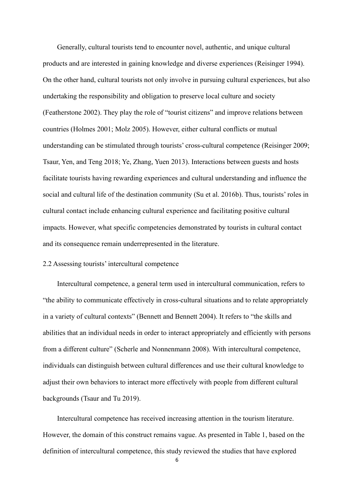Generally, cultural tourists tend to encounter novel, authentic, and unique cultural products and are interested in gaining knowledge and diverse experiences (Reisinger 1994). On the other hand, cultural tourists not only involve in pursuing cultural experiences, but also undertaking the responsibility and obligation to preserve local culture and society (Featherstone 2002). They play the role of "tourist citizens" and improve relations between countries (Holmes 2001; Molz 2005). However, either cultural conflicts or mutual understanding can be stimulated through tourists' cross-cultural competence (Reisinger 2009; Tsaur, Yen, and Teng 2018; Ye, Zhang, Yuen 2013). Interactions between guests and hosts facilitate tourists having rewarding experiences and cultural understanding and influence the social and cultural life of the destination community (Su et al. 2016b). Thus, tourists' roles in cultural contact include enhancing cultural experience and facilitating positive cultural impacts. However, what specific competencies demonstrated by tourists in cultural contact and its consequence remain underrepresented in the literature.

# 2.2 Assessing tourists' intercultural competence

Intercultural competence, a general term used in intercultural communication, refers to "the ability to communicate effectively in cross-cultural situations and to relate appropriately in a variety of cultural contexts" (Bennett and Bennett 2004). It refers to "the skills and abilities that an individual needs in order to interact appropriately and efficiently with persons from a different culture" (Scherle and Nonnenmann 2008). With intercultural competence, individuals can distinguish between cultural differences and use their cultural knowledge to adjust their own behaviors to interact more effectively with people from different cultural backgrounds (Tsaur and Tu 2019).

Intercultural competence has received increasing attention in the tourism literature. However, the domain of this construct remains vague. As presented in Table 1, based on the definition of intercultural competence, this study reviewed the studies that have explored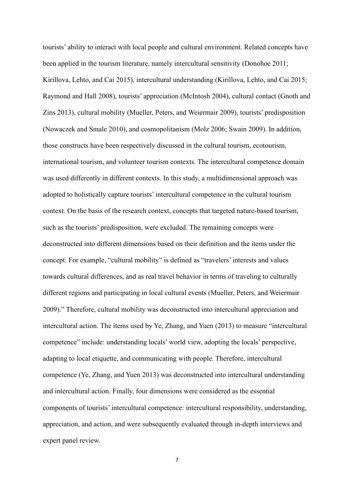tourists' ability to interact with local people and cultural environment. Related concepts have been applied in the tourism literature, namely intercultural sensitivity (Donohoe 2011; Kirillova, Lehto, and Cai 2015), intercultural understanding (Kirillova, Lehto, and Cai 2015; Raymond and Hall 2008), tourists' appreciation (McIntosh 2004), cultural contact (Gnoth and Zins 2013), cultural mobility (Mueller, Peters, and Weiermair 2009), tourists' predisposition (Nowaczek and Smale 2010), and cosmopolitanism (Molz 2006; Swain 2009). In addition, those constructs have been respectively discussed in the cultural tourism, ecotourism, international tourism, and volunteer tourism contexts. The intercultural competence domain was used differently in different contexts. In this study, a multidimensional approach was adopted to holistically capture tourists' intercultural competence in the cultural tourism context. On the basis of the research context, concepts that targeted nature-based tourism, such as the tourists' predisposition, were excluded. The remaining concepts were deconstructed into different dimensions based on their definition and the items under the concept. For example, "cultural mobility" is defined as "travelers' interests and values towards cultural differences, and as real travel behavior in terms of traveling to culturally different regions and participating in local cultural events (Mueller, Peters, and Weiermair 2009)." Therefore, cultural mobility was deconstructed into intercultural appreciation and intercultural action. The items used by Ye, Zhang, and Yuen (2013) to measure "intercultural competence" include: understanding locals' world view, adopting the locals' perspective, adapting to local etiquette, and communicating with people. Therefore, intercultural competence (Ye, Zhang, and Yuen 2013) was deconstructed into intercultural understanding and intercultural action. Finally, four dimensions were considered as the essential components of tourists' intercultural competence: intercultural responsibility, understanding, appreciation, and action, and were subsequently evaluated through in-depth interviews and expert panel review.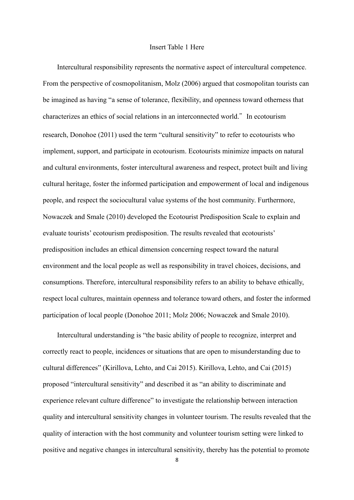### Insert Table 1 Here

Intercultural responsibility represents the normative aspect of intercultural competence. From the perspective of cosmopolitanism, Molz (2006) argued that cosmopolitan tourists can be imagined as having "a sense of tolerance, flexibility, and openness toward otherness that characterizes an ethics of social relations in an interconnected world." In ecotourism research, Donohoe (2011) used the term "cultural sensitivity" to refer to ecotourists who implement, support, and participate in ecotourism. Ecotourists minimize impacts on natural and cultural environments, foster intercultural awareness and respect, protect built and living cultural heritage, foster the informed participation and empowerment of local and indigenous people, and respect the sociocultural value systems of the host community. Furthermore, Nowaczek and Smale (2010) developed the Ecotourist Predisposition Scale to explain and evaluate tourists' ecotourism predisposition. The results revealed that ecotourists' predisposition includes an ethical dimension concerning respect toward the natural environment and the local people as well as responsibility in travel choices, decisions, and consumptions. Therefore, intercultural responsibility refers to an ability to behave ethically, respect local cultures, maintain openness and tolerance toward others, and foster the informed participation of local people (Donohoe 2011; Molz 2006; Nowaczek and Smale 2010).

Intercultural understanding is "the basic ability of people to recognize, interpret and correctly react to people, incidences or situations that are open to misunderstanding due to cultural differences" (Kirillova, Lehto, and Cai 2015). Kirillova, Lehto, and Cai (2015) proposed "intercultural sensitivity" and described it as "an ability to discriminate and experience relevant culture difference" to investigate the relationship between interaction quality and intercultural sensitivity changes in volunteer tourism. The results revealed that the quality of interaction with the host community and volunteer tourism setting were linked to positive and negative changes in intercultural sensitivity, thereby has the potential to promote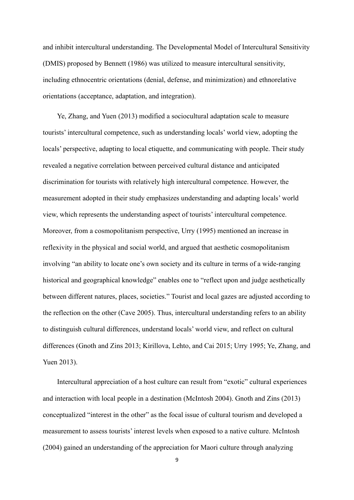and inhibit intercultural understanding. The Developmental Model of Intercultural Sensitivity (DMIS) proposed by Bennett (1986) was utilized to measure intercultural sensitivity, including ethnocentric orientations (denial, defense, and minimization) and ethnorelative orientations (acceptance, adaptation, and integration).

Ye, Zhang, and Yuen (2013) modified a sociocultural adaptation scale to measure tourists' intercultural competence, such as understanding locals' world view, adopting the locals' perspective, adapting to local etiquette, and communicating with people. Their study revealed a negative correlation between perceived cultural distance and anticipated discrimination for tourists with relatively high intercultural competence. However, the measurement adopted in their study emphasizes understanding and adapting locals' world view, which represents the understanding aspect of tourists' intercultural competence. Moreover, from a cosmopolitanism perspective, Urry (1995) mentioned an increase in reflexivity in the physical and social world, and argued that aesthetic cosmopolitanism involving "an ability to locate one's own society and its culture in terms of a wide-ranging historical and geographical knowledge" enables one to "reflect upon and judge aesthetically between different natures, places, societies." Tourist and local gazes are adjusted according to the reflection on the other (Cave 2005). Thus, intercultural understanding refers to an ability to distinguish cultural differences, understand locals' world view, and reflect on cultural differences (Gnoth and Zins 2013; Kirillova, Lehto, and Cai 2015; Urry 1995; Ye, Zhang, and Yuen 2013).

Intercultural appreciation of a host culture can result from "exotic" cultural experiences and interaction with local people in a destination (McIntosh 2004). Gnoth and Zins (2013) conceptualized "interest in the other" as the focal issue of cultural tourism and developed a measurement to assess tourists' interest levels when exposed to a native culture. McIntosh (2004) gained an understanding of the appreciation for Maori culture through analyzing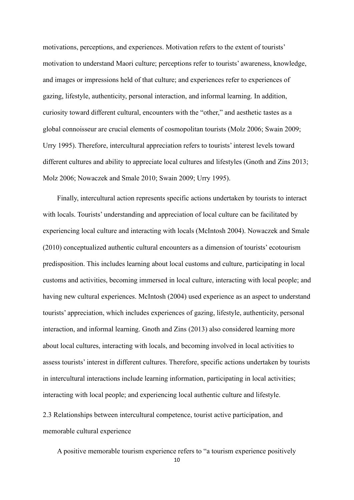motivations, perceptions, and experiences. Motivation refers to the extent of tourists' motivation to understand Maori culture; perceptions refer to tourists' awareness, knowledge, and images or impressions held of that culture; and experiences refer to experiences of gazing, lifestyle, authenticity, personal interaction, and informal learning. In addition, curiosity toward different cultural, encounters with the "other," and aesthetic tastes as a global connoisseur are crucial elements of cosmopolitan tourists (Molz 2006; Swain 2009; Urry 1995). Therefore, intercultural appreciation refers to tourists' interest levels toward different cultures and ability to appreciate local cultures and lifestyles (Gnoth and Zins 2013; Molz 2006; Nowaczek and Smale 2010; Swain 2009; Urry 1995).

Finally, intercultural action represents specific actions undertaken by tourists to interact with locals. Tourists' understanding and appreciation of local culture can be facilitated by experiencing local culture and interacting with locals (McIntosh 2004). Nowaczek and Smale (2010) conceptualized authentic cultural encounters as a dimension of tourists' ecotourism predisposition. This includes learning about local customs and culture, participating in local customs and activities, becoming immersed in local culture, interacting with local people; and having new cultural experiences. McIntosh (2004) used experience as an aspect to understand tourists' appreciation, which includes experiences of gazing, lifestyle, authenticity, personal interaction, and informal learning. Gnoth and Zins (2013) also considered learning more about local cultures, interacting with locals, and becoming involved in local activities to assess tourists' interest in different cultures. Therefore, specific actions undertaken by tourists in intercultural interactions include learning information, participating in local activities; interacting with local people; and experiencing local authentic culture and lifestyle.

2.3 Relationships between intercultural competence, tourist active participation, and memorable cultural experience

A positive memorable tourism experience refers to "a tourism experience positively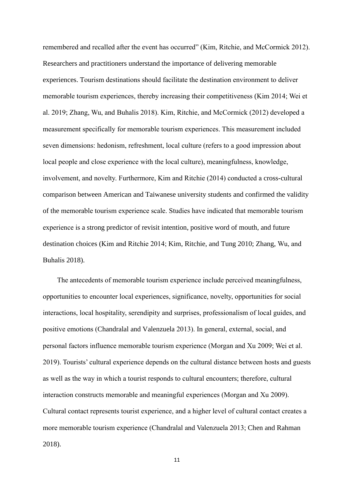remembered and recalled after the event has occurred" (Kim, Ritchie, and McCormick 2012). Researchers and practitioners understand the importance of delivering memorable experiences. Tourism destinations should facilitate the destination environment to deliver memorable tourism experiences, thereby increasing their competitiveness (Kim 2014; Wei et al. 2019; Zhang, Wu, and Buhalis 2018). Kim, Ritchie, and McCormick (2012) developed a measurement specifically for memorable tourism experiences. This measurement included seven dimensions: hedonism, refreshment, local culture (refers to a good impression about local people and close experience with the local culture), meaningfulness, knowledge, involvement, and novelty. Furthermore, Kim and Ritchie (2014) conducted a cross-cultural comparison between American and Taiwanese university students and confirmed the validity of the memorable tourism experience scale. Studies have indicated that memorable tourism experience is a strong predictor of revisit intention, positive word of mouth, and future destination choices (Kim and Ritchie 2014; Kim, Ritchie, and Tung 2010; Zhang, Wu, and Buhalis 2018).

The antecedents of memorable tourism experience include perceived meaningfulness, opportunities to encounter local experiences, significance, novelty, opportunities for social interactions, local hospitality, serendipity and surprises, professionalism of local guides, and positive emotions (Chandralal and Valenzuela 2013). In general, external, social, and personal factors influence memorable tourism experience (Morgan and Xu 2009; Wei et al. 2019). Tourists' cultural experience depends on the cultural distance between hosts and guests as well as the way in which a tourist responds to cultural encounters; therefore, cultural interaction constructs memorable and meaningful experiences (Morgan and Xu 2009). Cultural contact represents tourist experience, and a higher level of cultural contact creates a more memorable tourism experience (Chandralal and Valenzuela 2013; Chen and Rahman 2018).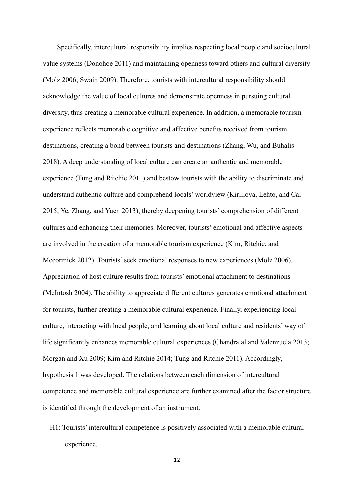Specifically, intercultural responsibility implies respecting local people and sociocultural value systems (Donohoe 2011) and maintaining openness toward others and cultural diversity (Molz 2006; Swain 2009). Therefore, tourists with intercultural responsibility should acknowledge the value of local cultures and demonstrate openness in pursuing cultural diversity, thus creating a memorable cultural experience. In addition, a memorable tourism experience reflects memorable cognitive and affective benefits received from tourism destinations, creating a bond between tourists and destinations (Zhang, Wu, and Buhalis 2018). A deep understanding of local culture can create an authentic and memorable experience (Tung and Ritchie 2011) and bestow tourists with the ability to discriminate and understand authentic culture and comprehend locals' worldview (Kirillova, Lehto, and Cai 2015; Ye, Zhang, and Yuen 2013), thereby deepening tourists' comprehension of different cultures and enhancing their memories. Moreover, tourists' emotional and affective aspects are involved in the creation of a memorable tourism experience (Kim, Ritchie, and Mccormick 2012). Tourists' seek emotional responses to new experiences (Molz 2006). Appreciation of host culture results from tourists' emotional attachment to destinations (McIntosh 2004). The ability to appreciate different cultures generates emotional attachment for tourists, further creating a memorable cultural experience. Finally, experiencing local culture, interacting with local people, and learning about local culture and residents' way of life significantly enhances memorable cultural experiences (Chandralal and Valenzuela 2013; Morgan and Xu 2009; Kim and Ritchie 2014; Tung and Ritchie 2011). Accordingly, hypothesis 1 was developed. The relations between each dimension of intercultural competence and memorable cultural experience are further examined after the factor structure is identified through the development of an instrument.

H1: Tourists' intercultural competence is positively associated with a memorable cultural experience.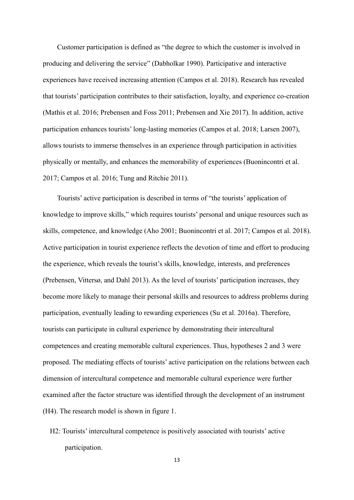Customer participation is defined as "the degree to which the customer is involved in producing and delivering the service" (Dabholkar 1990). Participative and interactive experiences have received increasing attention (Campos et al. 2018). Research has revealed that tourists' participation contributes to their satisfaction, loyalty, and experience co-creation (Mathis et al. 2016; Prebensen and Foss 2011; Prebensen and Xie 2017). In addition, active participation enhances tourists' long-lasting memories (Campos et al. 2018; Larsen 2007), allows tourists to immerse themselves in an experience through participation in activities physically or mentally, and enhances the memorability of experiences (Buonincontri et al. 2017; Campos et al. 2016; Tung and Ritchie 2011).

Tourists' active participation is described in terms of "the tourists' application of knowledge to improve skills," which requires tourists' personal and unique resources such as skills, competence, and knowledge (Aho 2001; Buonincontri et al. 2017; Campos et al. 2018). Active participation in tourist experience reflects the devotion of time and effort to producing the experience, which reveals the tourist's skills, knowledge, interests, and preferences (Prebensen, Vittersø, and Dahl 2013). As the level of tourists' participation increases, they become more likely to manage their personal skills and resources to address problems during participation, eventually leading to rewarding experiences (Su et al. 2016a). Therefore, tourists can participate in cultural experience by demonstrating their intercultural competences and creating memorable cultural experiences. Thus, hypotheses 2 and 3 were proposed. The mediating effects of tourists' active participation on the relations between each dimension of intercultural competence and memorable cultural experience were further examined after the factor structure was identified through the development of an instrument (H4). The research model is shown in figure 1.

H2: Tourists' intercultural competence is positively associated with tourists' active participation.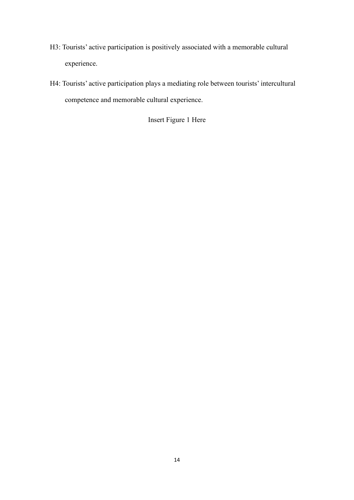- H3: Tourists' active participation is positively associated with a memorable cultural experience.
- H4: Tourists' active participation plays a mediating role between tourists' intercultural competence and memorable cultural experience.

Insert Figure 1 Here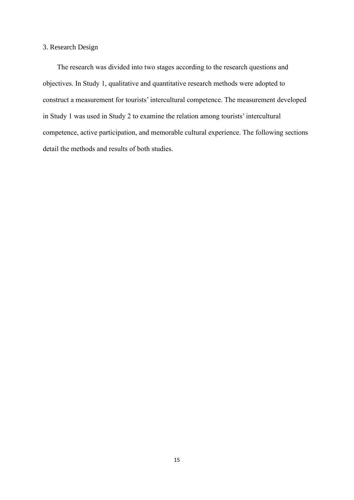## 3. Research Design

The research was divided into two stages according to the research questions and objectives. In Study 1, qualitative and quantitative research methods were adopted to construct a measurement for tourists' intercultural competence. The measurement developed in Study 1 was used in Study 2 to examine the relation among tourists' intercultural competence, active participation, and memorable cultural experience. The following sections detail the methods and results of both studies.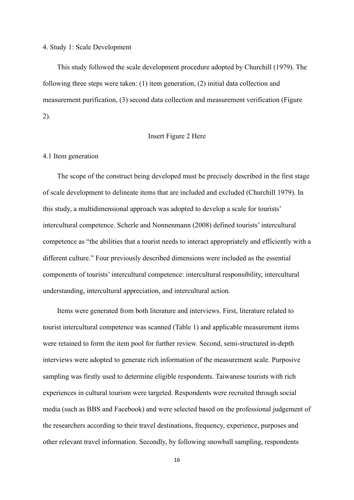4. Study 1: Scale Development

This study followed the scale development procedure adopted by Churchill (1979). The following three steps were taken: (1) item generation, (2) initial data collection and measurement purification, (3) second data collection and measurement verification (Figure 2).

### Insert Figure 2 Here

#### 4.1 Item generation

The scope of the construct being developed must be precisely described in the first stage of scale development to delineate items that are included and excluded (Churchill 1979). In this study, a multidimensional approach was adopted to develop a scale for tourists' intercultural competence. Scherle and Nonnenmann (2008) defined tourists' intercultural competence as "the abilities that a tourist needs to interact appropriately and efficiently with a different culture." Four previously described dimensions were included as the essential components of tourists' intercultural competence: intercultural responsibility, intercultural understanding, intercultural appreciation, and intercultural action.

Items were generated from both literature and interviews. First, literature related to tourist intercultural competence was scanned (Table 1) and applicable measurement items were retained to form the item pool for further review. Second, semi-structured in-depth interviews were adopted to generate rich information of the measurement scale. Purposive sampling was firstly used to determine eligible respondents. Taiwanese tourists with rich experiences in cultural tourism were targeted. Respondents were recruited through social media (such as BBS and Facebook) and were selected based on the professional judgement of the researchers according to their travel destinations, frequency, experience, purposes and other relevant travel information. Secondly, by following snowball sampling, respondents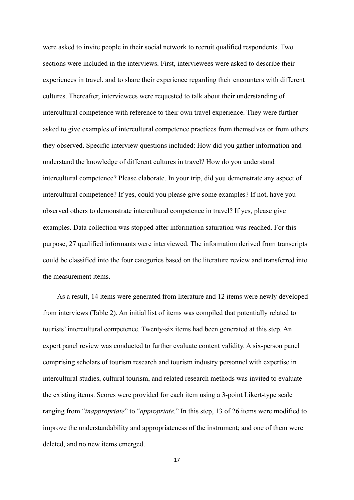were asked to invite people in their social network to recruit qualified respondents. Two sections were included in the interviews. First, interviewees were asked to describe their experiences in travel, and to share their experience regarding their encounters with different cultures. Thereafter, interviewees were requested to talk about their understanding of intercultural competence with reference to their own travel experience. They were further asked to give examples of intercultural competence practices from themselves or from others they observed. Specific interview questions included: How did you gather information and understand the knowledge of different cultures in travel? How do you understand intercultural competence? Please elaborate. In your trip, did you demonstrate any aspect of intercultural competence? If yes, could you please give some examples? If not, have you observed others to demonstrate intercultural competence in travel? If yes, please give examples. Data collection was stopped after information saturation was reached. For this purpose, 27 qualified informants were interviewed. The information derived from transcripts could be classified into the four categories based on the literature review and transferred into the measurement items.

As a result, 14 items were generated from literature and 12 items were newly developed from interviews (Table 2). An initial list of items was compiled that potentially related to tourists' intercultural competence. Twenty-six items had been generated at this step. An expert panel review was conducted to further evaluate content validity. A six-person panel comprising scholars of tourism research and tourism industry personnel with expertise in intercultural studies, cultural tourism, and related research methods was invited to evaluate the existing items. Scores were provided for each item using a 3-point Likert-type scale ranging from "*inappropriate*" to "*appropriate*." In this step, 13 of 26 items were modified to improve the understandability and appropriateness of the instrument; and one of them were deleted, and no new items emerged.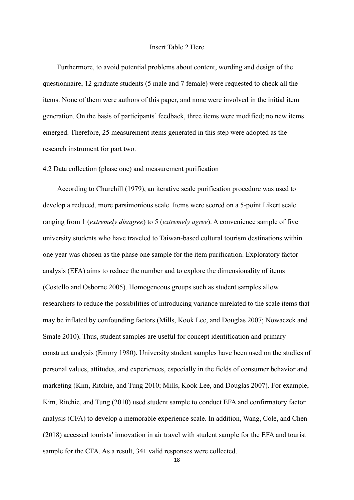### Insert Table 2 Here

Furthermore, to avoid potential problems about content, wording and design of the questionnaire, 12 graduate students (5 male and 7 female) were requested to check all the items. None of them were authors of this paper, and none were involved in the initial item generation. On the basis of participants' feedback, three items were modified; no new items emerged. Therefore, 25 measurement items generated in this step were adopted as the research instrument for part two.

### 4.2 Data collection (phase one) and measurement purification

According to Churchill (1979), an iterative scale purification procedure was used to develop a reduced, more parsimonious scale. Items were scored on a 5-point Likert scale ranging from 1 (*extremely disagree*) to 5 (*extremely agree*). A convenience sample of five university students who have traveled to Taiwan-based cultural tourism destinations within one year was chosen as the phase one sample for the item purification. Exploratory factor analysis (EFA) aims to reduce the number and to explore the dimensionality of items (Costello and Osborne 2005). Homogeneous groups such as student samples allow researchers to reduce the possibilities of introducing variance unrelated to the scale items that may be inflated by confounding factors (Mills, Kook Lee, and Douglas 2007; Nowaczek and Smale 2010). Thus, student samples are useful for concept identification and primary construct analysis (Emory 1980). University student samples have been used on the studies of personal values, attitudes, and experiences, especially in the fields of consumer behavior and marketing (Kim, Ritchie, and Tung 2010; Mills, Kook Lee, and Douglas 2007). For example, Kim, Ritchie, and Tung (2010) used student sample to conduct EFA and confirmatory factor analysis (CFA) to develop a memorable experience scale. In addition, Wang, Cole, and Chen (2018) accessed tourists' innovation in air travel with student sample for the EFA and tourist sample for the CFA. As a result, 341 valid responses were collected.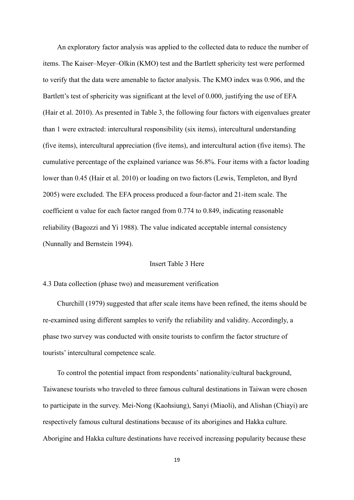An exploratory factor analysis was applied to the collected data to reduce the number of items. The Kaiser–Meyer–Olkin (KMO) test and the Bartlett sphericity test were performed to verify that the data were amenable to factor analysis. The KMO index was 0.906, and the Bartlett's test of sphericity was significant at the level of 0.000, justifying the use of EFA (Hair et al. 2010). As presented in Table 3, the following four factors with eigenvalues greater than 1 were extracted: intercultural responsibility (six items), intercultural understanding (five items), intercultural appreciation (five items), and intercultural action (five items). The cumulative percentage of the explained variance was 56.8%. Four items with a factor loading lower than 0.45 (Hair et al. 2010) or loading on two factors (Lewis, Templeton, and Byrd 2005) were excluded. The EFA process produced a four-factor and 21-item scale. The coefficient  $\alpha$  value for each factor ranged from 0.774 to 0.849, indicating reasonable reliability (Bagozzi and Yi 1988). The value indicated acceptable internal consistency (Nunnally and Bernstein 1994).

### Insert Table 3 Here

### 4.3 Data collection (phase two) and measurement verification

Churchill (1979) suggested that after scale items have been refined, the items should be re-examined using different samples to verify the reliability and validity. Accordingly, a phase two survey was conducted with onsite tourists to confirm the factor structure of tourists' intercultural competence scale.

To control the potential impact from respondents' nationality/cultural background, Taiwanese tourists who traveled to three famous cultural destinations in Taiwan were chosen to participate in the survey. Mei-Nong (Kaohsiung), Sanyi (Miaoli), and Alishan (Chiayi) are respectively famous cultural destinations because of its aborigines and Hakka culture. Aborigine and Hakka culture destinations have received increasing popularity because these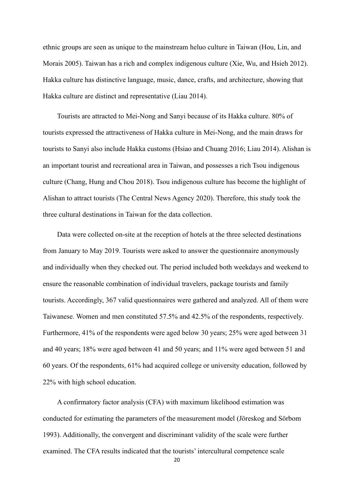ethnic groups are seen as unique to the mainstream [heluo](mailto:heluoculture@gmail.com) culture in Taiwan (Hou, Lin, and Morais 2005). Taiwan has a rich and complex indigenous culture (Xie, Wu, and Hsieh 2012). Hakka culture has distinctive language, music, dance, crafts, and architecture, showing that Hakka culture are distinct and representative (Liau 2014).

Tourists are attracted to Mei-Nong and Sanyi because of its Hakka culture. 80% of tourists expressed the attractiveness of Hakka culture in Mei-Nong, and the main draws for tourists to Sanyi also include Hakka customs (Hsiao and Chuang 2016; Liau 2014). Alishan is an important tourist and recreational area in Taiwan, and possesses a rich Tsou indigenous culture (Chang, Hung and Chou 2018). Tsou indigenous culture has become the highlight of Alishan to attract tourists (The Central News Agency 2020). Therefore, this study took the three cultural destinations in Taiwan for the data collection.

Data were collected on-site at the reception of hotels at the three selected destinations from January to May 2019. Tourists were asked to answer the questionnaire anonymously and individually when they checked out. The period included both weekdays and weekend to ensure the reasonable combination of individual travelers, package tourists and family tourists. Accordingly, 367 valid questionnaires were gathered and analyzed. All of them were Taiwanese. Women and men constituted 57.5% and 42.5% of the respondents, respectively. Furthermore, 41% of the respondents were aged below 30 years; 25% were aged between 31 and 40 years; 18% were aged between 41 and 50 years; and 11% were aged between 51 and 60 years. Of the respondents, 61% had acquired college or university education, followed by 22% with high school education.

A confirmatory factor analysis (CFA) with maximum likelihood estimation was conducted for estimating the parameters of the measurement model (Jöreskog and Sörbom 1993). Additionally, the convergent and discriminant validity of the scale were further examined. The CFA results indicated that the tourists' intercultural competence scale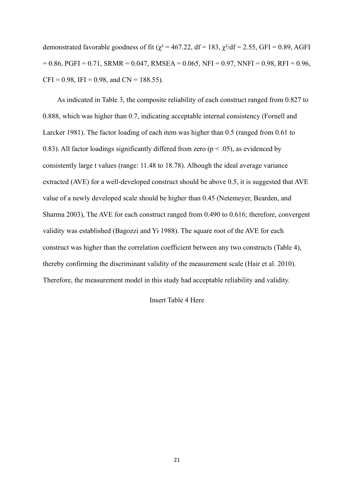demonstrated favorable goodness of fit ( $\chi^2$  = 467.22, df = 183,  $\chi^2$ /df = 2.55, GFI = 0.89, AGFI  $= 0.86$ , PGFI = 0.71, SRMR = 0.047, RMSEA = 0.065, NFI = 0.97, NNFI = 0.98, RFI = 0.96,  $CFI = 0.98$ , IFI = 0.98, and CN = 188.55).

As indicated in Table 3, the composite reliability of each construct ranged from 0.827 to 0.888, which was higher than 0.7, indicating acceptable internal consistency (Fornell and Larcker 1981). The factor loading of each item was higher than 0.5 (ranged from 0.61 to 0.83). All factor loadings significantly differed from zero ( $p < .05$ ), as evidenced by consistently large t values (range: 11.48 to 18.78). Alhough the ideal average variance extracted (AVE) for a well-developed construct should be above 0.5, it is suggested that AVE value of a newly developed scale should be higher than 0.45 (Netemeyer, Bearden, and Sharma 2003), The AVE for each construct ranged from 0.490 to 0.616; therefore, convergent validity was established (Bagozzi and Yi 1988). The square root of the AVE for each construct was higher than the correlation coefficient between any two constructs (Table 4), thereby confirming the discriminant validity of the measurement scale (Hair et al. 2010). Therefore, the measurement model in this study had acceptable reliability and validity.

Insert Table 4 Here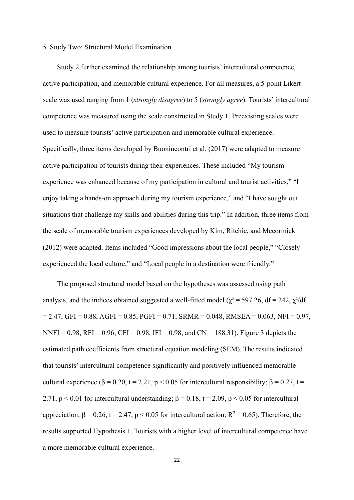### 5. Study Two: Structural Model Examination

Study 2 further examined the relationship among tourists' intercultural competence, active participation, and memorable cultural experience. For all measures, a 5-point Likert scale was used ranging from 1 (*strongly disagree*) to 5 (*strongly agree*). Tourists' intercultural competence was measured using the scale constructed in Study 1. Preexisting scales were used to measure tourists' active participation and memorable cultural experience. Specifically, three items developed by Buonincontri et al. (2017) were adapted to measure active participation of tourists during their experiences. These included "My tourism experience was enhanced because of my participation in cultural and tourist activities," "I enjoy taking a hands-on approach during my tourism experience," and "I have sought out situations that challenge my skills and abilities during this trip." In addition, three items from the scale of memorable tourism experiences developed by Kim, Ritchie, and Mccormick (2012) were adapted. Items included "Good impressions about the local people," "Closely experienced the local culture," and "Local people in a destination were friendly."

The proposed structural model based on the hypotheses was assessed using path analysis, and the indices obtained suggested a well-fitted model ( $\chi^2$  = 597.26, df = 242,  $\chi^2$ /df  $= 2.47$ , GFI = 0.88, AGFI = 0.85, PGFI = 0.71, SRMR = 0.048, RMSEA = 0.063, NFI = 0.97, NNFI = 0.98, RFI = 0.96, CFI = 0.98, IFI = 0.98, and CN = 188.31). Figure 3 depicts the estimated path coefficients from structural equation modeling (SEM). The results indicated that tourists' intercultural competence significantly and positively influenced memorable cultural experience ( $\beta$  = 0.20, t = 2.21, p < 0.05 for intercultural responsibility;  $\beta$  = 0.27, t = 2.71, p < 0.01 for intercultural understanding;  $\beta = 0.18$ , t = 2.09, p < 0.05 for intercultural appreciation;  $\beta = 0.26$ ,  $t = 2.47$ ,  $p < 0.05$  for intercultural action;  $R^2 = 0.65$ ). Therefore, the results supported Hypothesis 1. Tourists with a higher level of intercultural competence have a more memorable cultural experience.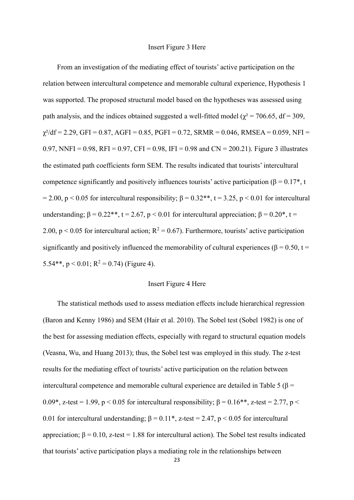From an investigation of the mediating effect of tourists' active participation on the relation between intercultural competence and memorable cultural experience, Hypothesis 1 was supported. The proposed structural model based on the hypotheses was assessed using path analysis, and the indices obtained suggested a well-fitted model ( $\chi^2$  = 706.65, df = 309,  $\chi^2/df = 2.29$ , GFI = 0.87, AGFI = 0.85, PGFI = 0.72, SRMR = 0.046, RMSEA = 0.059, NFI = 0.97, NNFI = 0.98, RFI = 0.97, CFI = 0.98, IFI = 0.98 and CN = 200.21). Figure 3 illustrates the estimated path coefficients form SEM. The results indicated that tourists' intercultural competence significantly and positively influences tourists' active participation ( $\beta = 0.17^*$ , t = 2.00, p < 0.05 for intercultural responsibility;  $\beta = 0.32$ <sup>\*\*</sup>, t = 3.25, p < 0.01 for intercultural understanding;  $\beta = 0.22$ <sup>\*\*</sup>, t = 2.67, p < 0.01 for intercultural appreciation;  $\beta = 0.20$ <sup>\*</sup>, t = 2.00, p < 0.05 for intercultural action;  $R^2 = 0.67$ ). Furthermore, tourists' active participation significantly and positively influenced the memorability of cultural experiences ( $\beta$  = 0.50, t = 5.54\*\*,  $p < 0.01$ ;  $R^2 = 0.74$ ) (Figure 4).

### Insert Figure 4 Here

The statistical methods used to assess mediation effects include hierarchical regression (Baron and Kenny 1986) and SEM (Hair et al. 2010). The Sobel test (Sobel 1982) is one of the best for assessing mediation effects, especially with regard to structural equation models (Veasna, Wu, and Huang 2013); thus, the Sobel test was employed in this study. The z-test results for the mediating effect of tourists' active participation on the relation between intercultural competence and memorable cultural experience are detailed in Table 5 (β = 0.09\*, z-test = 1.99, p < 0.05 for intercultural responsibility;  $\beta = 0.16$ \*\*, z-test = 2.77, p < 0.01 for intercultural understanding;  $\beta = 0.11^*$ , z-test = 2.47, p < 0.05 for intercultural appreciation;  $\beta = 0.10$ , z-test = 1.88 for intercultural action). The Sobel test results indicated that tourists' active participation plays a mediating role in the relationships between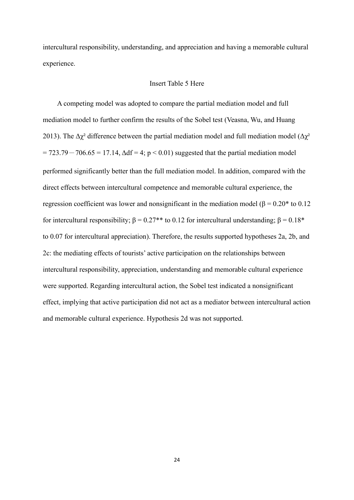intercultural responsibility, understanding, and appreciation and having a memorable cultural experience.

### Insert Table 5 Here

A competing model was adopted to compare the partial mediation model and full mediation model to further confirm the results of the Sobel test (Veasna, Wu, and Huang 2013). The  $\Delta \chi^2$  difference between the partial mediation model and full mediation model ( $\Delta \chi^2$  $= 723.79 - 706.65 = 17.14$ ,  $\Delta df = 4$ ; p < 0.01) suggested that the partial mediation model performed significantly better than the full mediation model. In addition, compared with the direct effects between intercultural competence and memorable cultural experience, the regression coefficient was lower and nonsignificant in the mediation model (β =  $0.20*$  to 0.12 for intercultural responsibility;  $β = 0.27**$  to 0.12 for intercultural understanding;  $β = 0.18*$ to 0.07 for intercultural appreciation). Therefore, the results supported hypotheses 2a, 2b, and 2c: the mediating effects of tourists' active participation on the relationships between intercultural responsibility, appreciation, understanding and memorable cultural experience were supported. Regarding intercultural action, the Sobel test indicated a nonsignificant effect, implying that active participation did not act as a mediator between intercultural action and memorable cultural experience. Hypothesis 2d was not supported.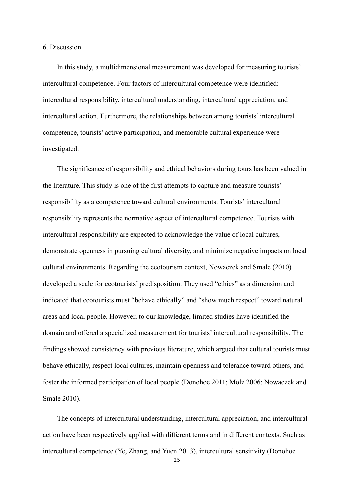#### 6. Discussion

In this study, a multidimensional measurement was developed for measuring tourists' intercultural competence. Four factors of intercultural competence were identified: intercultural responsibility, intercultural understanding, intercultural appreciation, and intercultural action. Furthermore, the relationships between among tourists' intercultural competence, tourists' active participation, and memorable cultural experience were investigated.

The significance of responsibility and ethical behaviors during tours has been valued in the literature. This study is one of the first attempts to capture and measure tourists' responsibility as a competence toward cultural environments. Tourists' intercultural responsibility represents the normative aspect of intercultural competence. Tourists with intercultural responsibility are expected to acknowledge the value of local cultures, demonstrate openness in pursuing cultural diversity, and minimize negative impacts on local cultural environments. Regarding the ecotourism context, Nowaczek and Smale (2010) developed a scale for ecotourists' predisposition. They used "ethics" as a dimension and indicated that ecotourists must "behave ethically" and "show much respect" toward natural areas and local people. However, to our knowledge, limited studies have identified the domain and offered a specialized measurement for tourists' intercultural responsibility. The findings showed consistency with previous literature, which argued that cultural tourists must behave ethically, respect local cultures, maintain openness and tolerance toward others, and foster the informed participation of local people (Donohoe 2011; Molz 2006; Nowaczek and Smale 2010).

The concepts of intercultural understanding, intercultural appreciation, and intercultural action have been respectively applied with different terms and in different contexts. Such as intercultural competence (Ye, Zhang, and Yuen 2013), intercultural sensitivity (Donohoe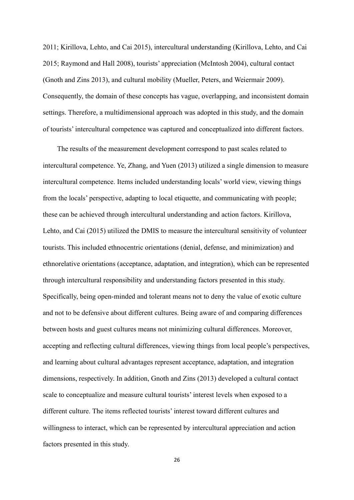2011; Kirillova, Lehto, and Cai 2015), intercultural understanding (Kirillova, Lehto, and Cai 2015; Raymond and Hall 2008), tourists' appreciation (McIntosh 2004), cultural contact (Gnoth and Zins 2013), and cultural mobility (Mueller, Peters, and Weiermair 2009). Consequently, the domain of these concepts has vague, overlapping, and inconsistent domain settings. Therefore, a multidimensional approach was adopted in this study, and the domain of tourists' intercultural competence was captured and conceptualized into different factors.

The results of the measurement development correspond to past scales related to intercultural competence. Ye, Zhang, and Yuen (2013) utilized a single dimension to measure intercultural competence. Items included understanding locals' world view, viewing things from the locals' perspective, adapting to local etiquette, and communicating with people; these can be achieved through intercultural understanding and action factors. Kirillova, Lehto, and Cai (2015) utilized the DMIS to measure the intercultural sensitivity of volunteer tourists. This included ethnocentric orientations (denial, defense, and minimization) and ethnorelative orientations (acceptance, adaptation, and integration), which can be represented through intercultural responsibility and understanding factors presented in this study. Specifically, being open-minded and tolerant means not to deny the value of exotic culture and not to be defensive about different cultures. Being aware of and comparing differences between hosts and guest cultures means not minimizing cultural differences. Moreover, accepting and reflecting cultural differences, viewing things from local people's perspectives, and learning about cultural advantages represent acceptance, adaptation, and integration dimensions, respectively. In addition, Gnoth and Zins (2013) developed a cultural contact scale to conceptualize and measure cultural tourists' interest levels when exposed to a different culture. The items reflected tourists' interest toward different cultures and willingness to interact, which can be represented by intercultural appreciation and action factors presented in this study.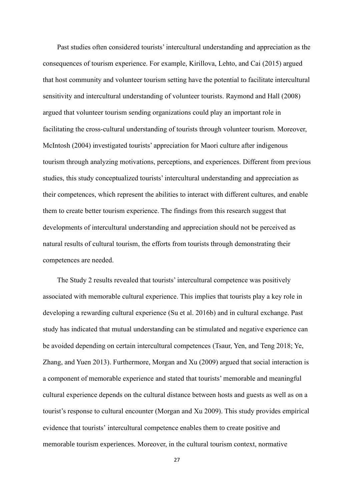Past studies often considered tourists' intercultural understanding and appreciation as the consequences of tourism experience. For example, Kirillova, Lehto, and Cai (2015) argued that host community and volunteer tourism setting have the potential to facilitate intercultural sensitivity and intercultural understanding of volunteer tourists. Raymond and Hall (2008) argued that volunteer tourism sending organizations could play an important role in facilitating the cross-cultural understanding of tourists through volunteer tourism. Moreover, McIntosh (2004) investigated tourists' appreciation for Maori culture after indigenous tourism through analyzing motivations, perceptions, and experiences. Different from previous studies, this study conceptualized tourists' intercultural understanding and appreciation as their competences, which represent the abilities to interact with different cultures, and enable them to create better tourism experience. The findings from this research suggest that developments of intercultural understanding and appreciation should not be perceived as natural results of cultural tourism, the efforts from tourists through demonstrating their competences are needed.

The Study 2 results revealed that tourists' intercultural competence was positively associated with memorable cultural experience. This implies that tourists play a key role in developing a rewarding cultural experience (Su et al. 2016b) and in cultural exchange. Past study has indicated that mutual understanding can be stimulated and negative experience can be avoided depending on certain intercultural competences (Tsaur, Yen, and Teng 2018; Ye, Zhang, and Yuen 2013). Furthermore, Morgan and Xu (2009) argued that social interaction is a component of memorable experience and stated that tourists' memorable and meaningful cultural experience depends on the cultural distance between hosts and guests as well as on a tourist's response to cultural encounter (Morgan and Xu 2009). This study provides empirical evidence that tourists' intercultural competence enables them to create positive and memorable tourism experiences. Moreover, in the cultural tourism context, normative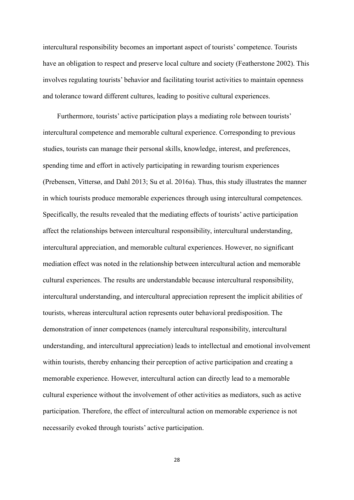intercultural responsibility becomes an important aspect of tourists' competence. Tourists have an obligation to respect and preserve local culture and society (Featherstone 2002). This involves regulating tourists' behavior and facilitating tourist activities to maintain openness and tolerance toward different cultures, leading to positive cultural experiences.

Furthermore, tourists' active participation plays a mediating role between tourists' intercultural competence and memorable cultural experience. Corresponding to previous studies, tourists can manage their personal skills, knowledge, interest, and preferences, spending time and effort in actively participating in rewarding tourism experiences (Prebensen, Vittersø, and Dahl 2013; Su et al. 2016a). Thus, this study illustrates the manner in which tourists produce memorable experiences through using intercultural competences. Specifically, the results revealed that the mediating effects of tourists' active participation affect the relationships between intercultural responsibility, intercultural understanding, intercultural appreciation, and memorable cultural experiences. However, no significant mediation effect was noted in the relationship between intercultural action and memorable cultural experiences. The results are understandable because intercultural responsibility, intercultural understanding, and intercultural appreciation represent the implicit abilities of tourists, whereas intercultural action represents outer behavioral predisposition. The demonstration of inner competences (namely intercultural responsibility, intercultural understanding, and intercultural appreciation) leads to intellectual and emotional involvement within tourists, thereby enhancing their perception of active participation and creating a memorable experience. However, intercultural action can directly lead to a memorable cultural experience without the involvement of other activities as mediators, such as active participation. Therefore, the effect of intercultural action on memorable experience is not necessarily evoked through tourists' active participation.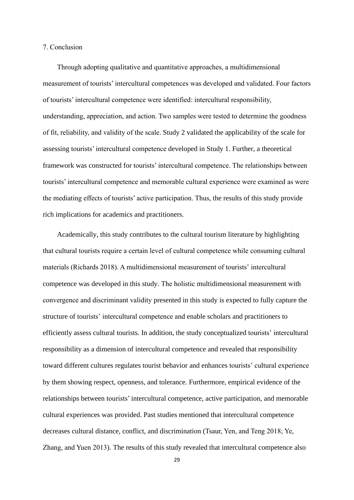### 7. Conclusion

Through adopting qualitative and quantitative approaches, a multidimensional measurement of tourists' intercultural competences was developed and validated. Four factors of tourists' intercultural competence were identified: intercultural responsibility, understanding, appreciation, and action. Two samples were tested to determine the goodness of fit, reliability, and validity of the scale. Study 2 validated the applicability of the scale for assessing tourists' intercultural competence developed in Study 1. Further, a theoretical framework was constructed for tourists' intercultural competence. The relationships between tourists' intercultural competence and memorable cultural experience were examined as were the mediating effects of tourists' active participation. Thus, the results of this study provide rich implications for academics and practitioners.

Academically, this study contributes to the cultural tourism literature by highlighting that cultural tourists require a certain level of cultural competence while consuming cultural materials (Richards 2018). A multidimensional measurement of tourists' intercultural competence was developed in this study. The holistic multidimensional measurement with convergence and discriminant validity presented in this study is expected to fully capture the structure of tourists' intercultural competence and enable scholars and practitioners to efficiently assess cultural tourists. In addition, the study conceptualized tourists' intercultural responsibility as a dimension of intercultural competence and revealed that responsibility toward different cultures regulates tourist behavior and enhances tourists' cultural experience by them showing respect, openness, and tolerance. Furthermore, empirical evidence of the relationships between tourists' intercultural competence, active participation, and memorable cultural experiences was provided. Past studies mentioned that intercultural competence decreases cultural distance, conflict, and discrimination (Tsaur, Yen, and Teng 2018; Ye, Zhang, and Yuen 2013). The results of this study revealed that intercultural competence also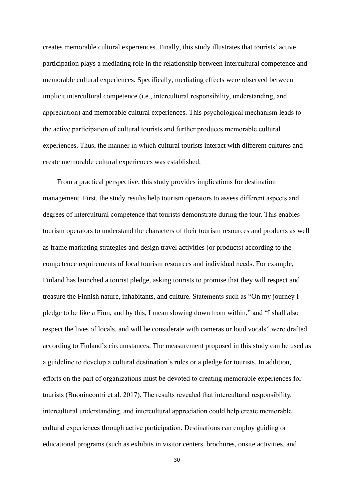creates memorable cultural experiences. Finally, this study illustrates that tourists' active participation plays a mediating role in the relationship between intercultural competence and memorable cultural experiences. Specifically, mediating effects were observed between implicit intercultural competence (i.e., intercultural responsibility, understanding, and appreciation) and memorable cultural experiences. This psychological mechanism leads to the active participation of cultural tourists and further produces memorable cultural experiences. Thus, the manner in which cultural tourists interact with different cultures and create memorable cultural experiences was established.

From a practical perspective, this study provides implications for destination management. First, the study results help tourism operators to assess different aspects and degrees of intercultural competence that tourists demonstrate during the tour. This enables tourism operators to understand the characters of their tourism resources and products as well as frame marketing strategies and design travel activities (or products) according to the competence requirements of local tourism resources and individual needs. For example, Finland has launched a tourist pledge, asking tourists to promise that they will respect and treasure the Finnish nature, inhabitants, and culture. Statements such as "On my journey I pledge to be like a Finn, and by this, I mean slowing down from within," and "I shall also respect the lives of locals, and will be considerate with cameras or loud vocals" were drafted according to Finland's circumstances. The measurement proposed in this study can be used as a guideline to develop a cultural destination's rules or a pledge for tourists. In addition, efforts on the part of organizations must be devoted to creating memorable experiences for tourists (Buonincontri et al. 2017). The results revealed that intercultural responsibility, intercultural understanding, and intercultural appreciation could help create memorable cultural experiences through active participation. Destinations can employ guiding or educational programs (such as exhibits in visitor centers, brochures, onsite activities, and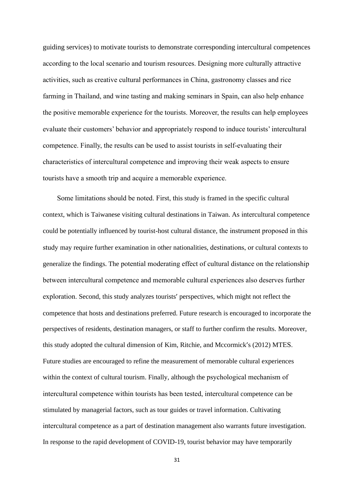guiding services) to motivate tourists to demonstrate corresponding intercultural competences according to the local scenario and tourism resources. Designing more culturally attractive activities, such as creative cultural performances in China, gastronomy classes and rice farming in Thailand, and wine tasting and making seminars in Spain, can also help enhance the positive memorable experience for the tourists. Moreover, the results can help employees evaluate their customers' behavior and appropriately respond to induce tourists' intercultural competence. Finally, the results can be used to assist tourists in self-evaluating their characteristics of intercultural competence and improving their weak aspects to ensure tourists have a smooth trip and acquire a memorable experience.

Some limitations should be noted. First, this study is framed in the specific cultural context, which is Taiwanese visiting cultural destinations in Taiwan. As intercultural competence could be potentially influenced by tourist-host cultural distance, the instrument proposed in this study may require further examination in other nationalities, destinations, or cultural contexts to generalize the findings. The potential moderating effect of cultural distance on the relationship between intercultural competence and memorable cultural experiences also deserves further exploration. Second, this study analyzes tourists' perspectives, which might not reflect the competence that hosts and destinations preferred. Future research is encouraged to incorporate the perspectives of residents, destination managers, or staff to further confirm the results. Moreover, this study adopted the cultural dimension of Kim, Ritchie, and Mccormick's (2012) MTES. Future studies are encouraged to refine the measurement of memorable cultural experiences within the context of cultural tourism. Finally, although the psychological mechanism of intercultural competence within tourists has been tested, intercultural competence can be stimulated by managerial factors, such as tour guides or travel information. Cultivating intercultural competence as a part of destination management also warrants future investigation. In response to the rapid development of COVID-19, tourist behavior may have temporarily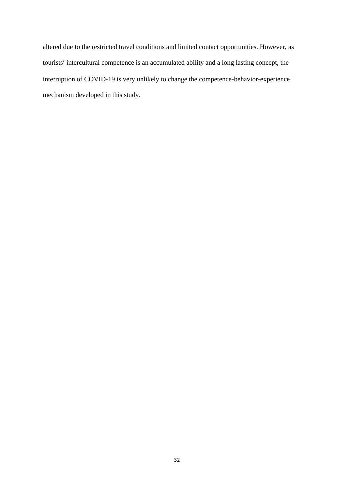altered due to the restricted travel conditions and limited contact opportunities. However, as tourists' intercultural competence is an accumulated ability and a long lasting concept, the interruption of COVID-19 is very unlikely to change the competence-behavior-experience mechanism developed in this study.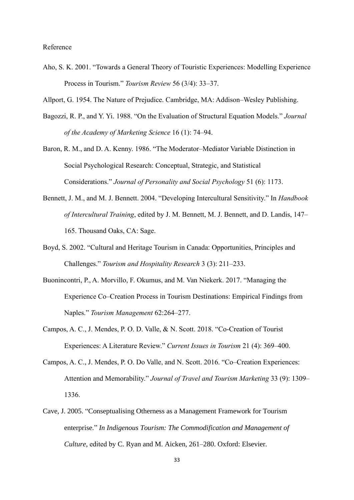### Reference

- Aho, S. K. 2001. "Towards a General Theory of Touristic Experiences: Modelling Experience Process in Tourism." *Tourism Review* 56 (3/4): 33–37.
- Allport, G. 1954. The Nature of Prejudice. Cambridge, MA: Addison–Wesley Publishing.
- Bagozzi, R. P., and Y. Yi. 1988. "On the Evaluation of Structural Equation Models." *Journal of the Academy of Marketing Science* 16 (1): 74–94.
- Baron, R. M., and D. A. Kenny. 1986. "The Moderator–Mediator Variable Distinction in Social Psychological Research: Conceptual, Strategic, and Statistical Considerations." *Journal of Personality and Social Psychology* 51 (6): 1173.
- Bennett, J. M., and M. J. Bennett. 2004. "Developing Intercultural Sensitivity." In *Handbook of Intercultural Training*, edited by J. M. Bennett, M. J. Bennett, and D. Landis, 147– 165. Thousand Oaks, CA: Sage.
- Boyd, S. 2002. "Cultural and Heritage Tourism in Canada: Opportunities, Principles and Challenges." *Tourism and Hospitality Research* 3 (3): 211–233.
- Buonincontri, P., A. Morvillo, F. Okumus, and M. Van Niekerk. 2017. "Managing the Experience Co–Creation Process in Tourism Destinations: Empirical Findings from Naples." *Tourism Management* 62:264–277.
- Campos, A. C., J. Mendes, P. O. D. Valle, & N. Scott. 2018. "Co-Creation of Tourist Experiences: A Literature Review." *Current Issues in Tourism* 21 (4): 369–400.
- Campos, A. C., J. Mendes, P. O. Do Valle, and N. Scott. 2016. "Co–Creation Experiences: Attention and Memorability." *Journal of Travel and Tourism Marketing* 33 (9): 1309– 1336.
- Cave, J. 2005. "Conseptualising Otherness as a Management Framework for Tourism enterprise." *In Indigenous Tourism: The Commodification and Management of Culture*, edited by C. Ryan and M. Aicken, 261–280. Oxford: Elsevier.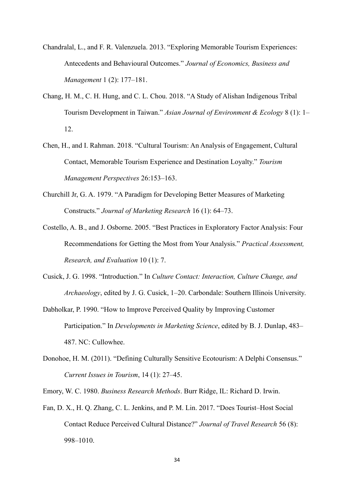- Chandralal, L., and F. R. Valenzuela. 2013. "Exploring Memorable Tourism Experiences: Antecedents and Behavioural Outcomes." *Journal of Economics, Business and Management* 1 (2): 177–181.
- Chang, H. M., C. H. Hung, and C. L. Chou. 2018. "A Study of Alishan Indigenous Tribal Tourism Development in Taiwan." *Asian Journal of Environment & Ecology* 8 (1): 1– 12.
- Chen, H., and I. Rahman. 2018. "Cultural Tourism: An Analysis of Engagement, Cultural Contact, Memorable Tourism Experience and Destination Loyalty." *Tourism Management Perspectives* 26:153–163.
- Churchill Jr, G. A. 1979. "A Paradigm for Developing Better Measures of Marketing Constructs." *Journal of Marketing Research* 16 (1): 64–73.
- Costello, A. B., and J. Osborne. 2005. "Best Practices in Exploratory Factor Analysis: Four Recommendations for Getting the Most from Your Analysis." *Practical Assessment, Research, and Evaluation* 10 (1): 7.
- Cusick, J. G. 1998. "Introduction." In *Culture Contact: Interaction, Culture Change, and Archaeology*, edited by J. G. Cusick, 1–20. Carbondale: Southern Illinois University.
- Dabholkar, P. 1990. "How to Improve Perceived Quality by Improving Customer Participation." In *Developments in Marketing Science*, edited by B. J. Dunlap, 483– 487. NC: Cullowhee.
- Donohoe, H. M. (2011). "Defining Culturally Sensitive Ecotourism: A Delphi Consensus." *Current Issues in Tourism*, 14 (1): 27–45.

Emory, W. C. 1980. *Business Research Methods*. Burr Ridge, IL: Richard D. Irwin.

Fan, D. X., H. Q. Zhang, C. L. Jenkins, and P. M. Lin. 2017. "Does Tourist–Host Social Contact Reduce Perceived Cultural Distance?" *Journal of Travel Research* 56 (8): 998–1010.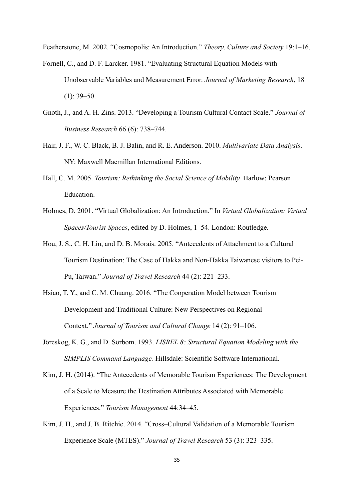Featherstone, M. 2002. "Cosmopolis: An Introduction." *Theory, Culture and Society* 19:1–16.

- Fornell, C., and D. F. Larcker. 1981. "Evaluating Structural Equation Models with Unobservable Variables and Measurement Error. *Journal of Marketing Research*, 18  $(1): 39 - 50.$
- Gnoth, J., and A. H. Zins. 2013. "Developing a Tourism Cultural Contact Scale." *Journal of Business Research* 66 (6): 738–744.
- Hair, J. F., W. C. Black, B. J. Balin, and R. E. Anderson. 2010. *Multivariate Data Analysis*. NY: Maxwell Macmillan International Editions.
- Hall, C. M. 2005. *Tourism: Rethinking the Social Science of Mobility.* Harlow: Pearson Education.
- Holmes, D. 2001. "Virtual Globalization: An Introduction." In *Virtual Globalization: Virtual Spaces/Tourist Spaces*, edited by D. Holmes, 1–54. London: Routledge.
- Hou, J. S., C. H. Lin, and D. B. Morais. 2005. "Antecedents of Attachment to a Cultural Tourism Destination: The Case of Hakka and Non-Hakka Taiwanese visitors to Pei-Pu, Taiwan." *Journal of Travel Research* 44 (2): 221–233.
- Hsiao, T. Y., and C. M. Chuang. 2016. "The Cooperation Model between Tourism Development and Traditional Culture: New Perspectives on Regional Context." *Journal of Tourism and Cultural Change* 14 (2): 91–106.
- Jöreskog, K. G., and D. Sörbom. 1993. *LISREL 8: Structural Equation Modeling with the SIMPLIS Command Language.* Hillsdale: Scientific Software International.
- Kim, J. H. (2014). "The Antecedents of Memorable Tourism Experiences: The Development of a Scale to Measure the Destination Attributes Associated with Memorable Experiences." *Tourism Management* 44:34–45.
- Kim, J. H., and J. B. Ritchie. 2014. "Cross–Cultural Validation of a Memorable Tourism Experience Scale (MTES)." *Journal of Travel Research* 53 (3): 323–335.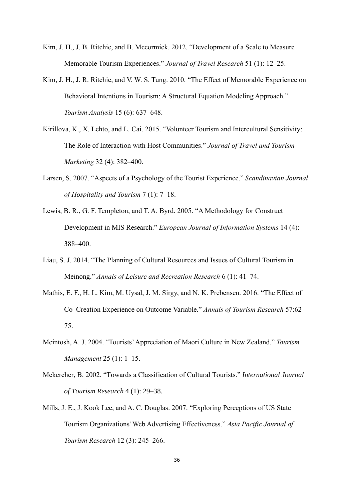- Kim, J. H., J. B. Ritchie, and B. Mccormick. 2012. "Development of a Scale to Measure Memorable Tourism Experiences." *Journal of Travel Research* 51 (1): 12–25.
- Kim, J. H., J. R. Ritchie, and V. W. S. Tung. 2010. "The Effect of Memorable Experience on Behavioral Intentions in Tourism: A Structural Equation Modeling Approach." *Tourism Analysis* 15 (6): 637–648.
- Kirillova, K., X. Lehto, and L. Cai. 2015. "Volunteer Tourism and Intercultural Sensitivity: The Role of Interaction with Host Communities." *Journal of Travel and Tourism Marketing* 32 (4): 382–400.
- Larsen, S. 2007. "Aspects of a Psychology of the Tourist Experience." *Scandinavian Journal of Hospitality and Tourism* 7 (1): 7–18.
- Lewis, B. R., G. F. Templeton, and T. A. Byrd. 2005. "A Methodology for Construct Development in MIS Research." *European Journal of Information Systems* 14 (4): 388–400.
- Liau, S. J. 2014. "The Planning of Cultural Resources and Issues of Cultural Tourism in Meinong." *Annals of Leisure and Recreation Research* 6 (1): 41–74.
- Mathis, E. F., H. L. Kim, M. Uysal, J. M. Sirgy, and N. K. Prebensen. 2016. "The Effect of Co–Creation Experience on Outcome Variable." *Annals of Tourism Research* 57:62– 75.
- Mcintosh, A. J. 2004. "Tourists' Appreciation of Maori Culture in New Zealand." *Tourism Management* 25 (1): 1–15.
- Mckercher, B. 2002. "Towards a Classification of Cultural Tourists." *International Journal of Tourism Research* 4 (1): 29–38.
- Mills, J. E., J. Kook Lee, and A. C. Douglas. 2007. "Exploring Perceptions of US State Tourism Organizations' Web Advertising Effectiveness." *Asia Pacific Journal of Tourism Research* 12 (3): 245–266.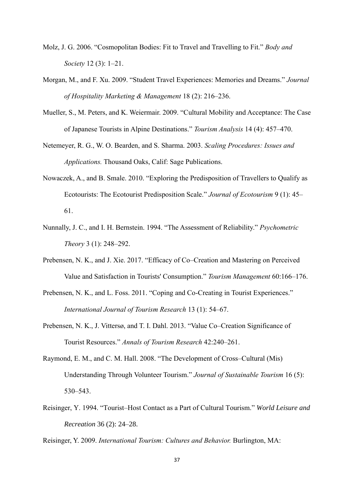- Molz, J. G. 2006. "Cosmopolitan Bodies: Fit to Travel and Travelling to Fit." *Body and Society* 12 (3): 1–21.
- Morgan, M., and F. Xu. 2009. "Student Travel Experiences: Memories and Dreams." *Journal of Hospitality Marketing & Management* 18 (2): 216–236.
- Mueller, S., M. Peters, and K. Weiermair. 2009. "Cultural Mobility and Acceptance: The Case of Japanese Tourists in Alpine Destinations." *Tourism Analysis* 14 (4): 457–470.
- Netemeyer, R. G., W. O. Bearden, and S. Sharma. 2003. *Scaling Procedures: Issues and Applications.* Thousand Oaks, Calif: Sage Publications.
- Nowaczek, A., and B. Smale. 2010. "Exploring the Predisposition of Travellers to Qualify as Ecotourists: The Ecotourist Predisposition Scale." *Journal of Ecotourism* 9 (1): 45– 61.
- Nunnally, J. C., and I. H. Bernstein. 1994. "The Assessment of Reliability." *Psychometric Theory* 3 (1): 248–292.
- Prebensen, N. K., and J. Xie. 2017. "Efficacy of Co–Creation and Mastering on Perceived Value and Satisfaction in Tourists' Consumption." *Tourism Management* 60:166–176.
- Prebensen, N. K., and L. Foss. 2011. "Coping and Co-Creating in Tourist Experiences." *International Journal of Tourism Research* 13 (1): 54–67.
- Prebensen, N. K., J. Vittersø, and T. I. Dahl. 2013. "Value Co–Creation Significance of Tourist Resources." *Annals of Tourism Research* 42:240–261.
- Raymond, E. M., and C. M. Hall. 2008. "The Development of Cross–Cultural (Mis) Understanding Through Volunteer Tourism." *Journal of Sustainable Tourism* 16 (5): 530–543.
- Reisinger, Y. 1994. "Tourist–Host Contact as a Part of Cultural Tourism." *World Leisure and Recreation* 36 (2): 24–28.

Reisinger, Y. 2009. *International Tourism: Cultures and Behavior.* Burlington, MA: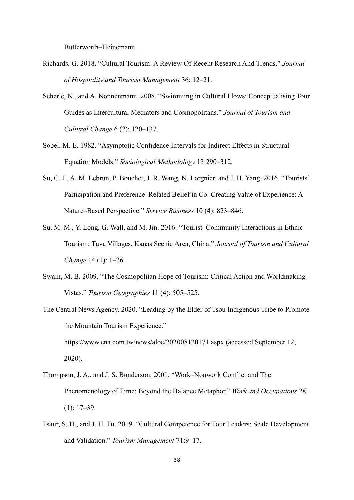Butterworth–Heinemann.

- Richards, G. 2018. "Cultural Tourism: A Review Of Recent Research And Trends." *Journal of Hospitality and Tourism Management* 36: 12–21.
- Scherle, N., and A. Nonnenmann. 2008. "Swimming in Cultural Flows: Conceptualising Tour Guides as Intercultural Mediators and Cosmopolitans." *Journal of Tourism and Cultural Change* 6 (2): 120–137.
- Sobel, M. E. 1982. "Asymptotic Confidence Intervals for Indirect Effects in Structural Equation Models." *Sociological Methodology* 13:290–312.
- Su, C. J., A. M. Lebrun, P. Bouchet, J. R. Wang, N. Lorgnier, and J. H. Yang. 2016. "Tourists' Participation and Preference–Related Belief in Co–Creating Value of Experience: A Nature–Based Perspective." *Service Business* 10 (4): 823–846.
- Su, M. M., Y. Long, G. Wall, and M. Jin. 2016. "Tourist–Community Interactions in Ethnic Tourism: Tuva Villages, Kanas Scenic Area, China." *Journal of Tourism and Cultural Change* 14 (1): 1–26.
- Swain, M. B. 2009. "The Cosmopolitan Hope of Tourism: Critical Action and Worldmaking Vistas." *Tourism Geographies* 11 (4): 505–525.
- The Central News Agency. 2020. "Leading by the Elder of Tsou Indigenous Tribe to Promote the Mountain Tourism Experience." <https://www.cna.com.tw/news/aloc/202008120171.aspx> (accessed September 12, 2020).
- Thompson, J. A., and J. S. Bunderson. 2001. "Work–Nonwork Conflict and The Phenomenology of Time: Beyond the Balance Metaphor." *Work and Occupations* 28  $(1): 17-39.$
- Tsaur, S. H., and J. H. Tu. 2019. "Cultural Competence for Tour Leaders: Scale Development and Validation." *Tourism Management* 71:9–17.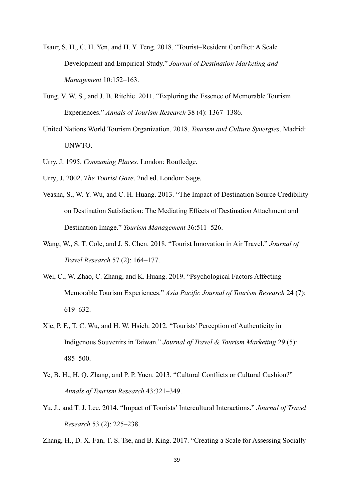- Tsaur, S. H., C. H. Yen, and H. Y. Teng. 2018. "Tourist–Resident Conflict: A Scale Development and Empirical Study." *Journal of Destination Marketing and Management* 10:152–163.
- Tung, V. W. S., and J. B. Ritchie. 2011. "Exploring the Essence of Memorable Tourism Experiences." *Annals of Tourism Research* 38 (4): 1367–1386.
- United Nations World Tourism Organization. 2018. *Tourism and Culture Synergies*. Madrid: UNWTO.
- Urry, J. 1995. *Consuming Places.* London: Routledge.
- Urry, J. 2002. *The Tourist Gaze.* 2nd ed. London: Sage.
- Veasna, S., W. Y. Wu, and C. H. Huang. 2013. "The Impact of Destination Source Credibility on Destination Satisfaction: The Mediating Effects of Destination Attachment and Destination Image." *Tourism Management* 36:511–526.
- Wang, W., S. T. Cole, and J. S. Chen. 2018. "Tourist Innovation in Air Travel." *Journal of Travel Research* 57 (2): 164–177.
- Wei, C., W. Zhao, C. Zhang, and K. Huang. 2019. "Psychological Factors Affecting Memorable Tourism Experiences." *Asia Pacific Journal of Tourism Research* 24 (7): 619–632.
- Xie, P. F., T. C. Wu, and H. W. Hsieh. 2012. "Tourists' Perception of Authenticity in Indigenous Souvenirs in Taiwan." *Journal of Travel & Tourism Marketing* 29 (5): 485–500.
- Ye, B. H., H. Q. Zhang, and P. P. Yuen. 2013. "Cultural Conflicts or Cultural Cushion?" *Annals of Tourism Research* 43:321–349.
- Yu, J., and T. J. Lee. 2014. "Impact of Tourists' Intercultural Interactions." *Journal of Travel Research* 53 (2): 225–238.

Zhang, H., D. X. Fan, T. S. Tse, and B. King. 2017. "Creating a Scale for Assessing Socially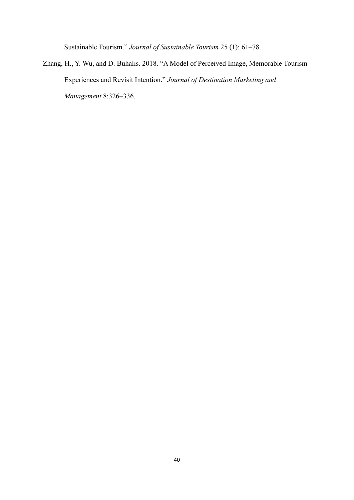Sustainable Tourism." *Journal of Sustainable Tourism* 25 (1): 61–78.

Zhang, H., Y. Wu, and D. Buhalis. 2018. "A Model of Perceived Image, Memorable Tourism Experiences and Revisit Intention." *Journal of Destination Marketing and Management* 8:326–336.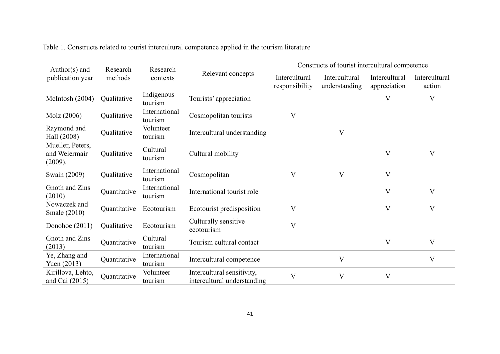| Author( $s$ ) and                            | Research     | Research                 |                                                           | Constructs of tourist intercultural competence |                                |                               |                         |
|----------------------------------------------|--------------|--------------------------|-----------------------------------------------------------|------------------------------------------------|--------------------------------|-------------------------------|-------------------------|
| publication year                             | methods      | contexts                 | Relevant concepts                                         | Intercultural<br>responsibility                | Intercultural<br>understanding | Intercultural<br>appreciation | Intercultural<br>action |
| McIntosh $(2004)$                            | Qualitative  | Indigenous<br>tourism    | Tourists' appreciation                                    |                                                |                                | V                             | V                       |
| Molz (2006)                                  | Qualitative  | International<br>tourism | Cosmopolitan tourists                                     | V                                              |                                |                               |                         |
| Raymond and<br>Hall (2008)                   | Qualitative  | Volunteer<br>tourism     | Intercultural understanding                               |                                                | V                              |                               |                         |
| Mueller, Peters,<br>and Weiermair<br>(2009). | Qualitative  | Cultural<br>tourism      | Cultural mobility                                         |                                                |                                | V                             | $\mathbf{V}$            |
| Swain (2009)                                 | Qualitative  | International<br>tourism | Cosmopolitan                                              | V                                              | V                              | V                             |                         |
| Gnoth and Zins<br>(2010)                     | Quantitative | International<br>tourism | International tourist role                                |                                                |                                | V                             | $\mathbf{V}$            |
| Nowaczek and<br>Smale (2010)                 | Quantitative | Ecotourism               | Ecotourist predisposition                                 | $\rm V$                                        |                                | V                             | V                       |
| Donohoe (2011)                               | Qualitative  | Ecotourism               | Culturally sensitive<br>ecotourism                        | $\overline{\mathsf{V}}$                        |                                |                               |                         |
| Gnoth and Zins<br>(2013)                     | Quantitative | Cultural<br>tourism      | Tourism cultural contact                                  |                                                |                                | V                             | $\mathbf{V}$            |
| Ye, Zhang and<br>Yuen $(2013)$               | Quantitative | International<br>tourism | Intercultural competence                                  |                                                | $\rm V$                        |                               | $\rm V$                 |
| Kirillova, Lehto,<br>and Cai $(2015)$        | Quantitative | Volunteer<br>tourism     | Intercultural sensitivity,<br>intercultural understanding | V                                              | $\rm V$                        | V                             |                         |

Table 1. Constructs related to tourist intercultural competence applied in the tourism literature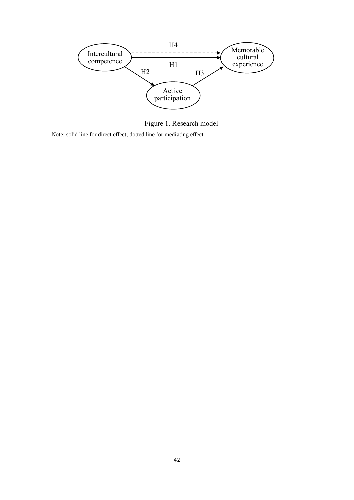

Figure 1. Research model

Note: solid line for direct effect; dotted line for mediating effect.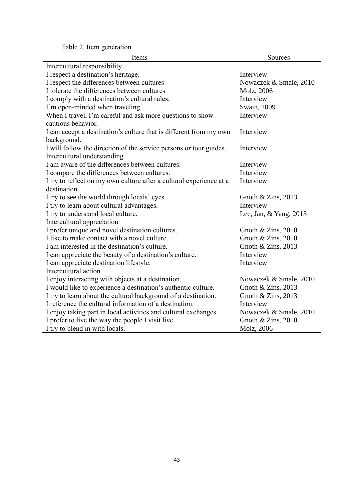Table 2. Item generation

| Items                                                                                             | Sources                |
|---------------------------------------------------------------------------------------------------|------------------------|
| Intercultural responsibility                                                                      |                        |
| I respect a destination's heritage.                                                               | Interview              |
| I respect the differences between cultures                                                        | Nowaczek & Smale, 2010 |
| I tolerate the differences between cultures                                                       | Molz, 2006             |
| I comply with a destination's cultural rules.                                                     | Interview              |
| I'm open-minded when traveling.                                                                   | Swain, 2009            |
| When I travel, I'm careful and ask more questions to show<br>cautious behavior.                   | Interview              |
| I can accept a destination's culture that is different from my own<br>background.                 | Interview              |
| I will follow the direction of the service persons or tour guides.<br>Intercultural understanding | Interview              |
| I am aware of the differences between cultures.                                                   | Interview              |
| I compare the differences between cultures.                                                       | Interview              |
| I try to reflect on my own culture after a cultural experience at a<br>destination.               | Interview              |
| I try to see the world through locals' eyes.                                                      | Gnoth $&$ Zins, 2013   |
| I try to learn about cultural advantages.                                                         | Interview              |
| I try to understand local culture.                                                                | Lee, Jan, & Yang, 2013 |
| Intercultural appreciation                                                                        |                        |
| I prefer unique and novel destination cultures.                                                   | Gnoth & Zins, $2010$   |
| I like to make contact with a novel culture.                                                      | Gnoth & Zins, $2010$   |
| I am interested in the destination's culture.                                                     | Gnoth $& Zins, 2013$   |
| I can appreciate the beauty of a destination's culture.                                           | Interview              |
| I can appreciate destination lifestyle.                                                           | Interview              |
| Intercultural action                                                                              |                        |
| I enjoy interacting with objects at a destination.                                                | Nowaczek & Smale, 2010 |
| I would like to experience a destination's authentic culture.                                     | Gnoth $&$ Zins, 2013   |
| I try to learn about the cultural background of a destination.                                    | Gnoth & Zins, 2013     |
| I reference the cultural information of a destination.                                            | Interview              |
| I enjoy taking part in local activities and cultural exchanges.                                   | Nowaczek & Smale, 2010 |
| I prefer to live the way the people I visit live.                                                 | Gnoth $&$ Zins, 2010   |
| I try to blend in with locals.                                                                    | Molz, 2006             |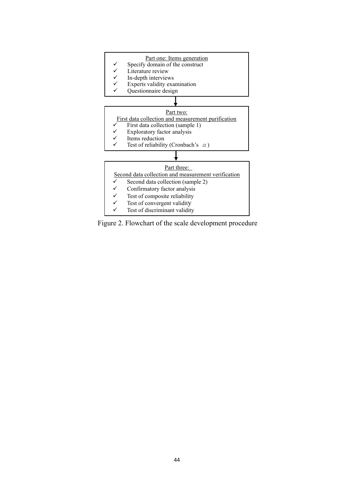#### Part one: Items generation

- $\checkmark$  Specify domain of the construct<br> $\checkmark$  Literature review
- $\checkmark$  Literature review
- In-depth interviews
- Experts validity examination
- Questionnaire design ✓



- 
- ✓ Exploratory factor analysis
- ✓ Items reduction
- Test of reliability (Cronbach's  $\alpha$ )



Figure 2. Flowchart of the scale development procedure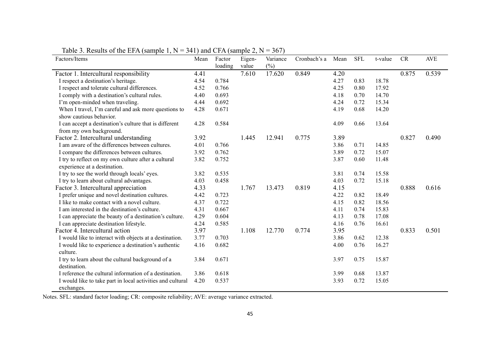| Factors/Items                                              | Mean | Factor<br>loading | Eigen-<br>value | Variance<br>(%) | Cronbach's a | Mean | <b>SFL</b> | t-value | CR    | <b>AVE</b> |
|------------------------------------------------------------|------|-------------------|-----------------|-----------------|--------------|------|------------|---------|-------|------------|
| Factor 1. Intercultural responsibility                     | 4.41 |                   | 7.610           | 17.620          | 0.849        | 4.20 |            |         | 0.875 | 0.539      |
| I respect a destination's heritage.                        | 4.54 | 0.784             |                 |                 |              | 4.27 | 0.83       | 18.78   |       |            |
| I respect and tolerate cultural differences.               | 4.52 | 0.766             |                 |                 |              | 4.25 | 0.80       | 17.92   |       |            |
| I comply with a destination's cultural rules.              | 4.40 | 0.693             |                 |                 |              | 4.18 | 0.70       | 14.70   |       |            |
| I'm open-minded when traveling.                            | 4.44 | 0.692             |                 |                 |              | 4.24 | 0.72       | 15.34   |       |            |
| When I travel, I'm careful and ask more questions to       | 4.28 | 0.671             |                 |                 |              | 4.19 | 0.68       | 14.20   |       |            |
| show cautious behavior.                                    |      |                   |                 |                 |              |      |            |         |       |            |
| I can accept a destination's culture that is different     | 4.28 | 0.584             |                 |                 |              | 4.09 | 0.66       | 13.64   |       |            |
| from my own background.                                    |      |                   |                 |                 |              |      |            |         |       |            |
| Factor 2. Intercultural understanding                      | 3.92 |                   | 1.445           | 12.941          | 0.775        | 3.89 |            |         | 0.827 | 0.490      |
| I am aware of the differences between cultures.            | 4.01 | 0.766             |                 |                 |              | 3.86 | 0.71       | 14.85   |       |            |
| I compare the differences between cultures.                | 3.92 | 0.762             |                 |                 |              | 3.89 | 0.72       | 15.07   |       |            |
| I try to reflect on my own culture after a cultural        | 3.82 | 0.752             |                 |                 |              | 3.87 | 0.60       | 11.48   |       |            |
| experience at a destination.                               |      |                   |                 |                 |              |      |            |         |       |            |
| I try to see the world through locals' eyes.               | 3.82 | 0.535             |                 |                 |              | 3.81 | 0.74       | 15.58   |       |            |
| I try to learn about cultural advantages.                  | 4.03 | 0.458             |                 |                 |              | 4.03 | 0.72       | 15.18   |       |            |
| Factor 3. Intercultural appreciation                       | 4.33 |                   | 1.767           | 13.473          | 0.819        | 4.15 |            |         | 0.888 | 0.616      |
| I prefer unique and novel destination cultures.            | 4.42 | 0.723             |                 |                 |              | 4.22 | 0.82       | 18.49   |       |            |
| I like to make contact with a novel culture.               | 4.37 | 0.722             |                 |                 |              | 4.15 | 0.82       | 18.56   |       |            |
| I am interested in the destination's culture.              | 4.31 | 0.667             |                 |                 |              | 4.11 | 0.74       | 15.83   |       |            |
| I can appreciate the beauty of a destination's culture.    | 4.29 | 0.604             |                 |                 |              | 4.13 | 0.78       | 17.08   |       |            |
| I can appreciate destination lifestyle.                    | 4.24 | 0.585             |                 |                 |              | 4.16 | 0.76       | 16.61   |       |            |
| Factor 4. Intercultural action                             | 3.97 |                   | 1.108           | 12.770          | 0.774        | 3.95 |            |         | 0.833 | 0.501      |
| I would like to interact with objects at a destination.    | 3.77 | 0.703             |                 |                 |              | 3.86 | 0.62       | 12.38   |       |            |
| I would like to experience a destination's authentic       | 4.16 | 0.682             |                 |                 |              | 4.00 | 0.76       | 16.27   |       |            |
| culture.                                                   |      |                   |                 |                 |              |      |            |         |       |            |
| I try to learn about the cultural background of a          | 3.84 | 0.671             |                 |                 |              | 3.97 | 0.75       | 15.87   |       |            |
| destination.                                               |      |                   |                 |                 |              |      |            |         |       |            |
| I reference the cultural information of a destination.     | 3.86 | 0.618             |                 |                 |              | 3.99 | 0.68       | 13.87   |       |            |
| I would like to take part in local activities and cultural | 4.20 | 0.537             |                 |                 |              | 3.93 | 0.72       | 15.05   |       |            |
| exchanges.                                                 |      |                   |                 |                 |              |      |            |         |       |            |

Table 3. Results of the EFA (sample 1,  $N = 341$ ) and CFA (sample 2,  $N = 367$ )

Notes. SFL: standard factor loading; CR: composite reliability; AVE: average variance extracted.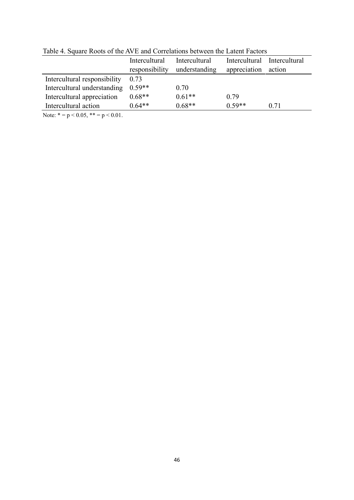|                              | Intercultural<br>responsibility | Intercultural<br>understanding | Intercultural<br>appreciation | Intercultural<br>action |
|------------------------------|---------------------------------|--------------------------------|-------------------------------|-------------------------|
| Intercultural responsibility | 0.73                            |                                |                               |                         |
| Intercultural understanding  | $0.59**$                        | 0.70                           |                               |                         |
| Intercultural appreciation   | $0.68**$                        | $0.61**$                       | 0.79                          |                         |
| Intercultural action         | $0.64**$                        | $0.68**$                       | $0.59**$                      | 0.71                    |
|                              |                                 |                                |                               |                         |

Table 4. Square Roots of the AVE and Correlations between the Latent Factors

Note:  $* = p < 0.05$ ,  $** = p < 0.01$ .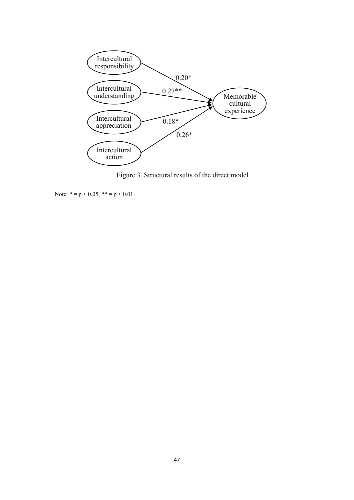

Figure 3. Structural results of the direct model

Note:  $* = p < 0.05$ ,  $** = p < 0.01$ .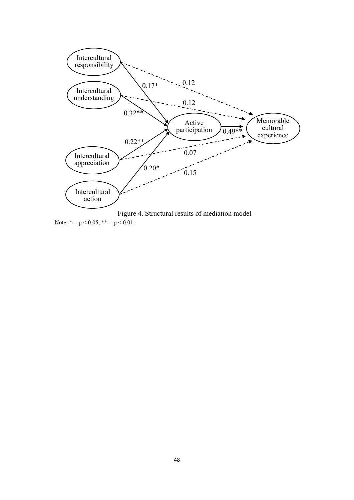

Note:  $* = p < 0.05$ ,  $** = p < 0.01$ .